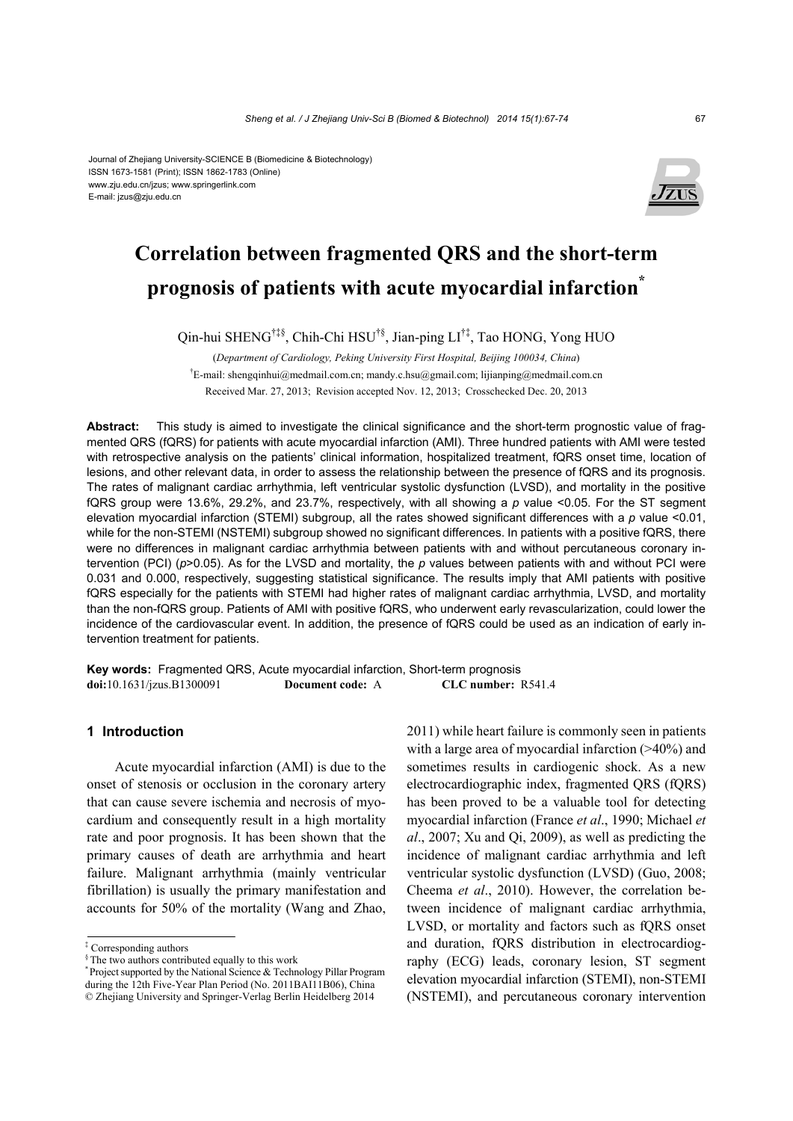#### Journal of Zhejiang University-SCIENCE B (Biomedicine & Biotechnology) ISSN 1673-1581 (Print); ISSN 1862-1783 (Online) www.zju.edu.cn/jzus; www.springerlink.com E-mail: jzus@zju.edu.cn



## **Correlation between fragmented QRS and the short-term prognosis of patients with acute myocardial infarction\***

Qin-hui SHENG†‡§, Chih-Chi HSU†§, Jian-ping LI†‡, Tao HONG, Yong HUO

(*Department of Cardiology, Peking University First Hospital, Beijing 100034, China*)  $^{\dagger}$ E-mail: shengqinhui@medmail.com.cn; mandy.c.hsu@gmail.com; lijianping@medmail.com.cn Received Mar. 27, 2013; Revision accepted Nov. 12, 2013; Crosschecked Dec. 20, 2013

**Abstract:** This study is aimed to investigate the clinical significance and the short-term prognostic value of fragmented QRS (fQRS) for patients with acute myocardial infarction (AMI). Three hundred patients with AMI were tested with retrospective analysis on the patients' clinical information, hospitalized treatment, fQRS onset time, location of lesions, and other relevant data, in order to assess the relationship between the presence of fQRS and its prognosis. The rates of malignant cardiac arrhythmia, left ventricular systolic dysfunction (LVSD), and mortality in the positive fQRS group were 13.6%, 29.2%, and 23.7%, respectively, with all showing a *p* value <0.05. For the ST segment elevation myocardial infarction (STEMI) subgroup, all the rates showed significant differences with a *p* value <0.01, while for the non-STEMI (NSTEMI) subgroup showed no significant differences. In patients with a positive fQRS, there were no differences in malignant cardiac arrhythmia between patients with and without percutaneous coronary intervention (PCI) (*p*>0.05). As for the LVSD and mortality, the *p* values between patients with and without PCI were 0.031 and 0.000, respectively, suggesting statistical significance. The results imply that AMI patients with positive fQRS especially for the patients with STEMI had higher rates of malignant cardiac arrhythmia, LVSD, and mortality than the non-fQRS group. Patients of AMI with positive fQRS, who underwent early revascularization, could lower the incidence of the cardiovascular event. In addition, the presence of fQRS could be used as an indication of early intervention treatment for patients.

**Key words:** Fragmented QRS, Acute myocardial infarction, Short-term prognosis **doi:**10.1631/jzus.B1300091 **Document code:** A **CLC number:** R541.4

## **1 Introduction**

Acute myocardial infarction (AMI) is due to the onset of stenosis or occlusion in the coronary artery that can cause severe ischemia and necrosis of myocardium and consequently result in a high mortality rate and poor prognosis. It has been shown that the primary causes of death are arrhythmia and heart failure. Malignant arrhythmia (mainly ventricular fibrillation) is usually the primary manifestation and accounts for 50% of the mortality (Wang and Zhao,

2011) while heart failure is commonly seen in patients with a large area of myocardial infarction (>40%) and sometimes results in cardiogenic shock. As a new electrocardiographic index, fragmented QRS (fQRS) has been proved to be a valuable tool for detecting myocardial infarction (France *et al*., 1990; Michael *et al*., 2007; Xu and Qi, 2009), as well as predicting the incidence of malignant cardiac arrhythmia and left ventricular systolic dysfunction (LVSD) (Guo, 2008; Cheema *et al*., 2010). However, the correlation between incidence of malignant cardiac arrhythmia, LVSD, or mortality and factors such as fQRS onset and duration, fQRS distribution in electrocardiography (ECG) leads, coronary lesion, ST segment elevation myocardial infarction (STEMI), non-STEMI (NSTEMI), and percutaneous coronary intervention

<sup>‡</sup> Corresponding authors

<sup>§</sup> The two authors contributed equally to this work

<sup>\*</sup> Project supported by the National Science & Technology Pillar Program during the 12th Five-Year Plan Period (No. 2011BAI11B06), China © Zhejiang University and Springer-Verlag Berlin Heidelberg 2014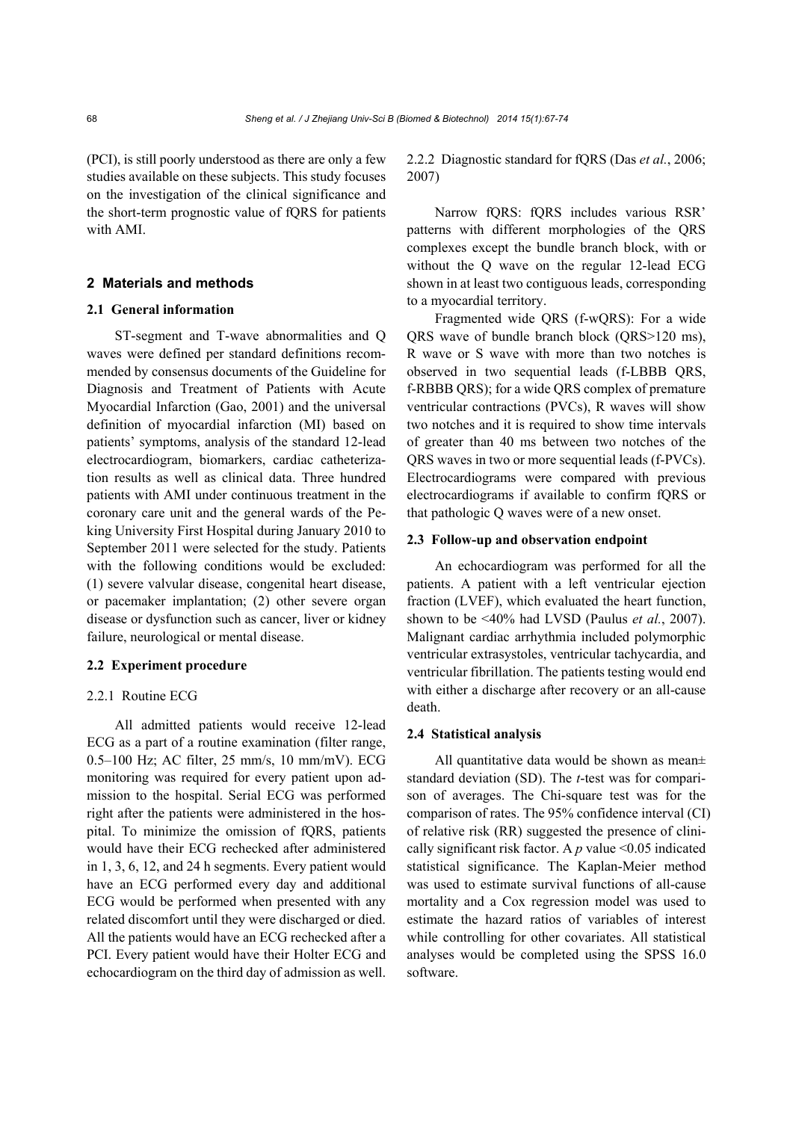(PCI), is still poorly understood as there are only a few studies available on these subjects. This study focuses on the investigation of the clinical significance and the short-term prognostic value of fQRS for patients with AMI.

## **2 Materials and methods**

## **2.1 General information**

ST-segment and T-wave abnormalities and Q waves were defined per standard definitions recommended by consensus documents of the Guideline for Diagnosis and Treatment of Patients with Acute Myocardial Infarction (Gao, 2001) and the universal definition of myocardial infarction (MI) based on patients' symptoms, analysis of the standard 12-lead electrocardiogram, biomarkers, cardiac catheterization results as well as clinical data. Three hundred patients with AMI under continuous treatment in the coronary care unit and the general wards of the Peking University First Hospital during January 2010 to September 2011 were selected for the study. Patients with the following conditions would be excluded: (1) severe valvular disease, congenital heart disease, or pacemaker implantation; (2) other severe organ disease or dysfunction such as cancer, liver or kidney failure, neurological or mental disease.

## **2.2 Experiment procedure**

#### 2.2.1 Routine ECG

All admitted patients would receive 12-lead ECG as a part of a routine examination (filter range, 0.5–100 Hz; AC filter, 25 mm/s, 10 mm/mV). ECG monitoring was required for every patient upon admission to the hospital. Serial ECG was performed right after the patients were administered in the hospital. To minimize the omission of fQRS, patients would have their ECG rechecked after administered in 1, 3, 6, 12, and 24 h segments. Every patient would have an ECG performed every day and additional ECG would be performed when presented with any related discomfort until they were discharged or died. All the patients would have an ECG rechecked after a PCI. Every patient would have their Holter ECG and echocardiogram on the third day of admission as well. 2.2.2 Diagnostic standard for fQRS (Das *et al.*, 2006; 2007)

Narrow fQRS: fQRS includes various RSR' patterns with different morphologies of the QRS complexes except the bundle branch block, with or without the Q wave on the regular 12-lead ECG shown in at least two contiguous leads, corresponding to a myocardial territory.

Fragmented wide QRS (f-wQRS): For a wide QRS wave of bundle branch block (QRS>120 ms), R wave or S wave with more than two notches is observed in two sequential leads (f-LBBB QRS, f-RBBB QRS); for a wide QRS complex of premature ventricular contractions (PVCs), R waves will show two notches and it is required to show time intervals of greater than 40 ms between two notches of the QRS waves in two or more sequential leads (f-PVCs). Electrocardiograms were compared with previous electrocardiograms if available to confirm fQRS or that pathologic Q waves were of a new onset.

#### **2.3 Follow-up and observation endpoint**

An echocardiogram was performed for all the patients. A patient with a left ventricular ejection fraction (LVEF), which evaluated the heart function, shown to be <40% had LVSD (Paulus *et al.*, 2007). Malignant cardiac arrhythmia included polymorphic ventricular extrasystoles, ventricular tachycardia, and ventricular fibrillation. The patients testing would end with either a discharge after recovery or an all-cause death.

## **2.4 Statistical analysis**

All quantitative data would be shown as mean± standard deviation (SD). The *t*-test was for comparison of averages. The Chi-square test was for the comparison of rates. The 95% confidence interval (CI) of relative risk (RR) suggested the presence of clinically significant risk factor. A *p* value <0.05 indicated statistical significance. The Kaplan-Meier method was used to estimate survival functions of all-cause mortality and a Cox regression model was used to estimate the hazard ratios of variables of interest while controlling for other covariates. All statistical analyses would be completed using the SPSS 16.0 software.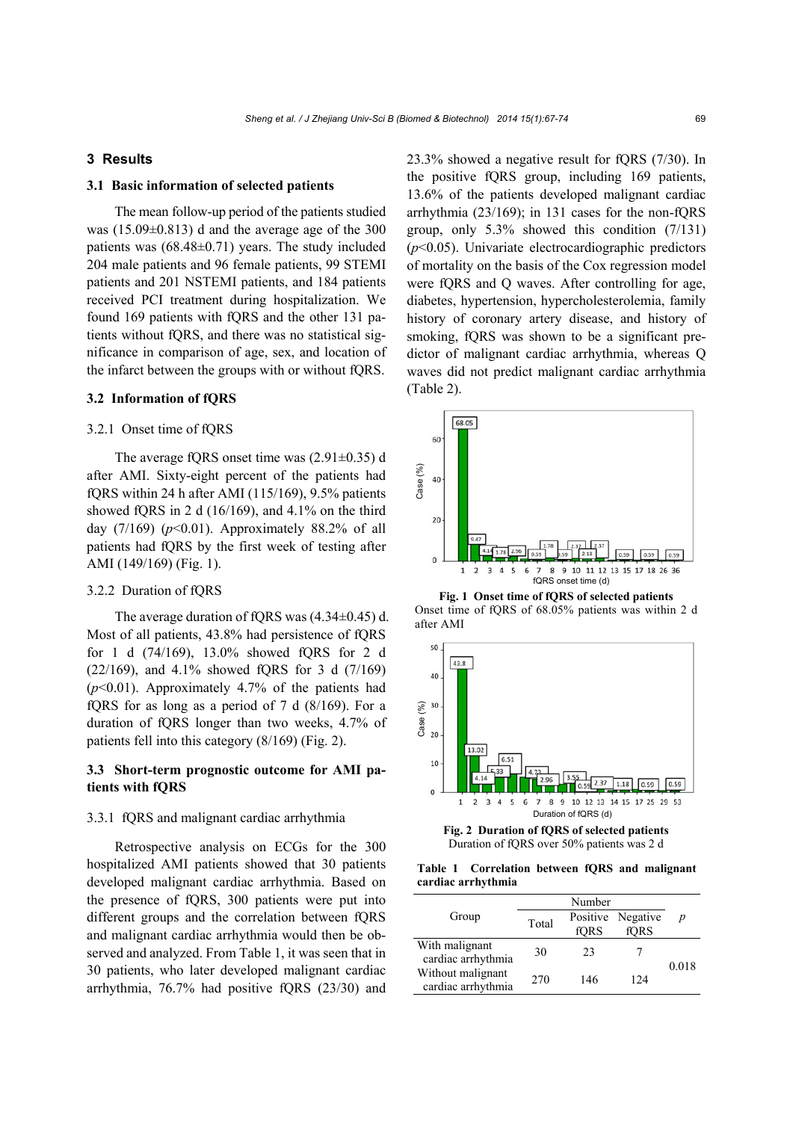## **3 Results**

## **3.1 Basic information of selected patients**

The mean follow-up period of the patients studied was  $(15.09\pm0.813)$  d and the average age of the 300 patients was (68.48±0.71) years. The study included 204 male patients and 96 female patients, 99 STEMI patients and 201 NSTEMI patients, and 184 patients received PCI treatment during hospitalization. We found 169 patients with fQRS and the other 131 patients without fQRS, and there was no statistical significance in comparison of age, sex, and location of the infarct between the groups with or without fQRS.

## **3.2 Information of fQRS**

## 3.2.1 Onset time of fQRS

The average fQRS onset time was (2.91±0.35) d after AMI. Sixty-eight percent of the patients had fORS within 24 h after AMI  $(115/169)$ , 9.5% patients showed fQRS in 2 d (16/169), and 4.1% on the third day (7/169) (*p*<0.01). Approximately 88.2% of all patients had fQRS by the first week of testing after AMI (149/169) (Fig. 1).

## 3.2.2 Duration of fQRS

The average duration of fQRS was (4.34±0.45) d. Most of all patients, 43.8% had persistence of fORS for 1 d (74/169), 13.0% showed fQRS for 2 d (22/169), and 4.1% showed fQRS for 3 d (7/169) (*p*<0.01). Approximately 4.7% of the patients had fQRS for as long as a period of 7 d (8/169). For a duration of fQRS longer than two weeks, 4.7% of patients fell into this category (8/169) (Fig. 2).

## **3.3 Short-term prognostic outcome for AMI patients with fQRS**

#### 3.3.1 fQRS and malignant cardiac arrhythmia

Retrospective analysis on ECGs for the 300 hospitalized AMI patients showed that 30 patients developed malignant cardiac arrhythmia. Based on the presence of fQRS, 300 patients were put into different groups and the correlation between fQRS and malignant cardiac arrhythmia would then be observed and analyzed. From Table 1, it was seen that in 30 patients, who later developed malignant cardiac arrhythmia, 76.7% had positive fQRS (23/30) and 23.3% showed a negative result for fQRS (7/30). In the positive fQRS group, including 169 patients, 13.6% of the patients developed malignant cardiac arrhythmia (23/169); in 131 cases for the non-fQRS group, only 5.3% showed this condition (7/131) (*p*<0.05). Univariate electrocardiographic predictors of mortality on the basis of the Cox regression model were fQRS and Q waves. After controlling for age, diabetes, hypertension, hypercholesterolemia, family history of coronary artery disease, and history of smoking, fQRS was shown to be a significant predictor of malignant cardiac arrhythmia, whereas Q waves did not predict malignant cardiac arrhythmia (Table 2).



Onset time of fQRS of 68.05% patients was within 2 d after AMI



**Fig. 2 Duration of fQRS of selected patients**  Duration of fQRS over 50% patients was 2 d

**Table 1 Correlation between fQRS and malignant cardiac arrhythmia** 

| Group                                   | Total | fORS | Positive Negative<br>fORS | $\boldsymbol{p}$ |
|-----------------------------------------|-------|------|---------------------------|------------------|
| With malignant<br>cardiac arrhythmia    | 30    | 23   |                           |                  |
| Without malignant<br>cardiac arrhythmia | 270   | 146  | 124                       | 0.018            |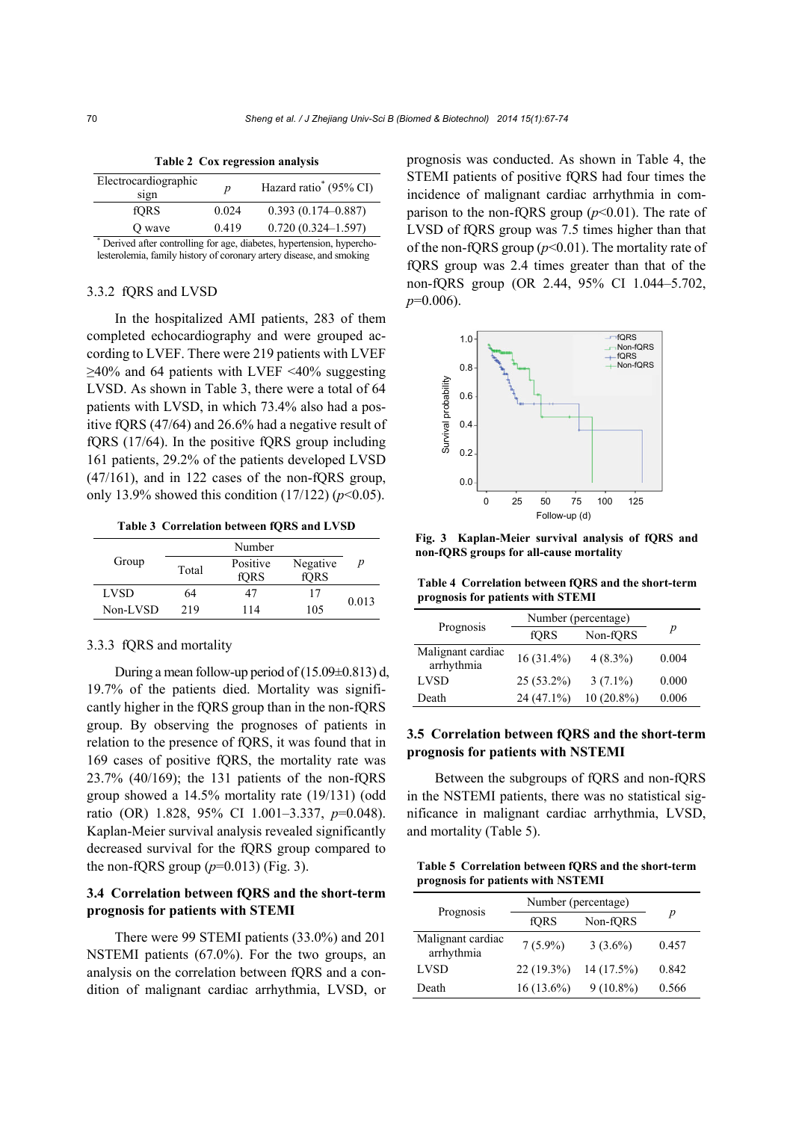| Electrocardiographic<br>sign                                           | D     | Hazard ratio <sup>*</sup> (95% CI) |
|------------------------------------------------------------------------|-------|------------------------------------|
| fORS                                                                   | 0.024 | $0.393(0.174 - 0.887)$             |
| O wave                                                                 | 0.419 | $0.720(0.324 - 1.597)$             |
| * Derived after controlling for age, diabetes, hypertension, hypercho- |       |                                    |

**Table 2 Cox regression analysis** 

 Derived after controlling for age, diabetes, hypertension, hypercholesterolemia, family history of coronary artery disease, and smoking

## 3.3.2 fQRS and LVSD

In the hospitalized AMI patients, 283 of them completed echocardiography and were grouped according to LVEF. There were 219 patients with LVEF  $\geq$ 40% and 64 patients with LVEF <40% suggesting LVSD. As shown in Table 3, there were a total of 64 patients with LVSD, in which 73.4% also had a positive fQRS (47/64) and 26.6% had a negative result of fQRS (17/64). In the positive fQRS group including 161 patients, 29.2% of the patients developed LVSD (47/161), and in 122 cases of the non-fQRS group, only 13.9% showed this condition  $(17/122)$  ( $p<0.05$ ).

**Table 3 Correlation between fQRS and LVSD** 

| Group       | Total | Positive | Negative | р     |
|-------------|-------|----------|----------|-------|
|             |       | fORS     | fORS     |       |
| <b>LVSD</b> | 64    | 47       | 17       | 0.013 |
| Non-LVSD    | 219   | 114      | 105      |       |

#### 3.3.3 fQRS and mortality

During a mean follow-up period of  $(15.09\pm0.813)$  d, 19.7% of the patients died. Mortality was significantly higher in the fQRS group than in the non-fQRS group. By observing the prognoses of patients in relation to the presence of fQRS, it was found that in 169 cases of positive fQRS, the mortality rate was 23.7% (40/169); the 131 patients of the non-fQRS group showed a 14.5% mortality rate (19/131) (odd ratio (OR) 1.828, 95% CI 1.001–3.337, *p*=0.048). Kaplan-Meier survival analysis revealed significantly decreased survival for the fQRS group compared to the non-fQRS group  $(p=0.013)$  (Fig. 3).

## **3.4 Correlation between fQRS and the short-term prognosis for patients with STEMI**

There were 99 STEMI patients (33.0%) and 201 NSTEMI patients (67.0%). For the two groups, an analysis on the correlation between fQRS and a condition of malignant cardiac arrhythmia, LVSD, or prognosis was conducted. As shown in Table 4, the STEMI patients of positive fQRS had four times the incidence of malignant cardiac arrhythmia in comparison to the non-fORS group  $(p<0.01)$ . The rate of LVSD of fQRS group was 7.5 times higher than that of the non-fQRS group (*p*<0.01). The mortality rate of fQRS group was 2.4 times greater than that of the non-fQRS group (OR 2.44, 95% CI 1.044–5.702, *p*=0.006).



**Fig. 3 Kaplan-Meier survival analysis of fQRS and non-fQRS groups for all-cause mortality**

**Table 4 Correlation between fQRS and the short-term prognosis for patients with STEMI** 

| Prognosis                       | Number (percentage) |              |       |
|---------------------------------|---------------------|--------------|-------|
|                                 | fORS                | Non-fQRS     | p     |
| Malignant cardiac<br>arrhythmia | $16(31.4\%)$        | $4(8.3\%)$   | 0.004 |
| <b>LVSD</b>                     | $25(53.2\%)$        | $3(7.1\%)$   | 0.000 |
| Death                           | 24 (47.1%)          | $10(20.8\%)$ | 0.006 |

## **3.5 Correlation between fQRS and the short-term prognosis for patients with NSTEMI**

Between the subgroups of fQRS and non-fQRS in the NSTEMI patients, there was no statistical significance in malignant cardiac arrhythmia, LVSD, and mortality (Table 5).

**Table 5 Correlation between fQRS and the short-term prognosis for patients with NSTEMI** 

| Prognosis                       | Number (percentage) |             |       |
|---------------------------------|---------------------|-------------|-------|
|                                 | fQRS                | Non-fQRS    | p     |
| Malignant cardiac<br>arrhythmia | $7(5.9\%)$          | $3(3.6\%)$  | 0.457 |
| <b>LVSD</b>                     | $22(19.3\%)$        | 14 (17.5%)  | 0.842 |
| Death                           | $16(13.6\%)$        | $9(10.8\%)$ | 0.566 |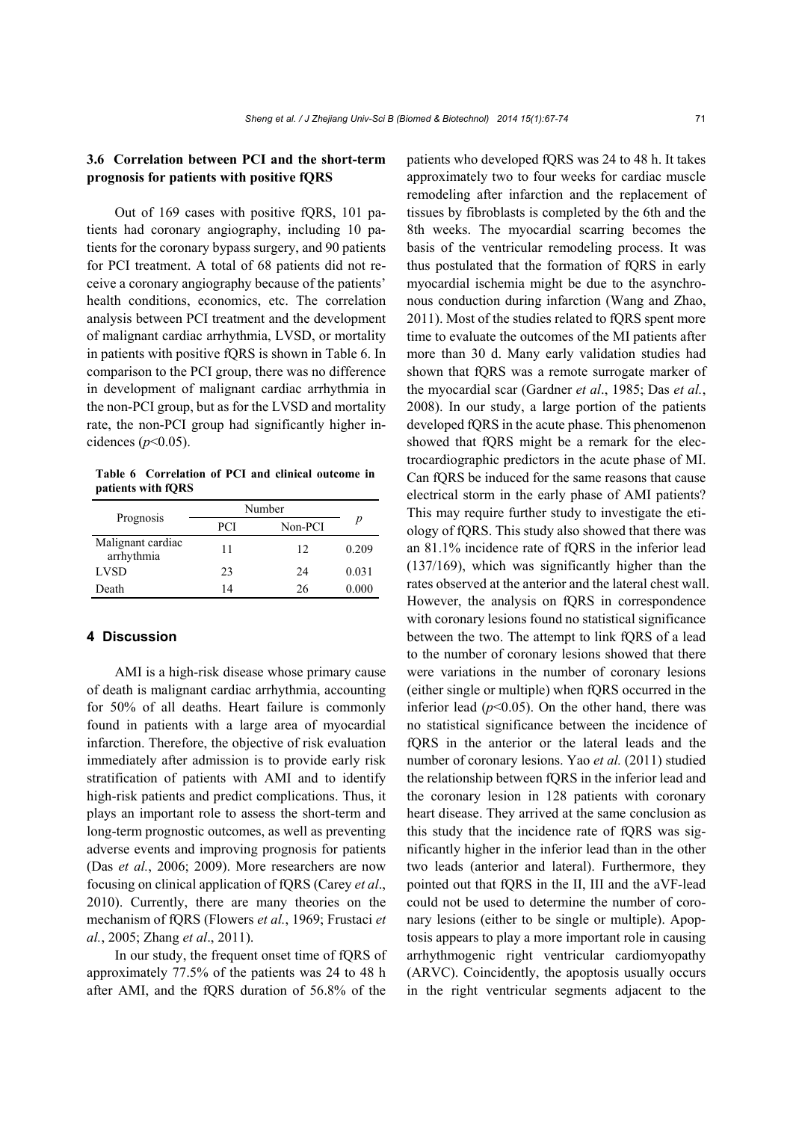## **3.6 Correlation between PCI and the short-term prognosis for patients with positive fQRS**

Out of 169 cases with positive fQRS, 101 patients had coronary angiography, including 10 patients for the coronary bypass surgery, and 90 patients for PCI treatment. A total of 68 patients did not receive a coronary angiography because of the patients' health conditions, economics, etc. The correlation analysis between PCI treatment and the development of malignant cardiac arrhythmia, LVSD, or mortality in patients with positive fQRS is shown in Table 6. In comparison to the PCI group, there was no difference in development of malignant cardiac arrhythmia in the non-PCI group, but as for the LVSD and mortality rate, the non-PCI group had significantly higher incidences  $(p<0.05)$ .

**Table 6 Correlation of PCI and clinical outcome in patients with fQRS** 

|                                 | Number     |         |       |
|---------------------------------|------------|---------|-------|
| Prognosis                       | <b>PCI</b> | Non-PCI | р     |
| Malignant cardiac<br>arrhythmia | 11         | 12      | 0.209 |
| <b>LVSD</b>                     | 23         | 24      | 0.031 |
| Death                           | 14         | 26      | 0.000 |

## **4 Discussion**

AMI is a high-risk disease whose primary cause of death is malignant cardiac arrhythmia, accounting for 50% of all deaths. Heart failure is commonly found in patients with a large area of myocardial infarction. Therefore, the objective of risk evaluation immediately after admission is to provide early risk stratification of patients with AMI and to identify high-risk patients and predict complications. Thus, it plays an important role to assess the short-term and long-term prognostic outcomes, as well as preventing adverse events and improving prognosis for patients (Das *et al.*, 2006; 2009). More researchers are now focusing on clinical application of fQRS (Carey *et al*., 2010). Currently, there are many theories on the mechanism of fQRS (Flowers *et al.*, 1969; Frustaci *et al.*, 2005; Zhang *et al*., 2011).

In our study, the frequent onset time of fQRS of approximately 77.5% of the patients was 24 to 48 h after AMI, and the fQRS duration of 56.8% of the patients who developed fQRS was 24 to 48 h. It takes approximately two to four weeks for cardiac muscle remodeling after infarction and the replacement of tissues by fibroblasts is completed by the 6th and the 8th weeks. The myocardial scarring becomes the basis of the ventricular remodeling process. It was thus postulated that the formation of fQRS in early myocardial ischemia might be due to the asynchronous conduction during infarction (Wang and Zhao, 2011). Most of the studies related to fQRS spent more time to evaluate the outcomes of the MI patients after more than 30 d. Many early validation studies had shown that fQRS was a remote surrogate marker of the myocardial scar (Gardner *et al*., 1985; Das *et al.*, 2008). In our study, a large portion of the patients developed fQRS in the acute phase. This phenomenon showed that fQRS might be a remark for the electrocardiographic predictors in the acute phase of MI. Can fQRS be induced for the same reasons that cause electrical storm in the early phase of AMI patients? This may require further study to investigate the etiology of fQRS. This study also showed that there was an 81.1% incidence rate of fQRS in the inferior lead (137/169), which was significantly higher than the rates observed at the anterior and the lateral chest wall. However, the analysis on fQRS in correspondence with coronary lesions found no statistical significance between the two. The attempt to link fQRS of a lead to the number of coronary lesions showed that there were variations in the number of coronary lesions (either single or multiple) when fQRS occurred in the inferior lead  $(p<0.05)$ . On the other hand, there was no statistical significance between the incidence of fQRS in the anterior or the lateral leads and the number of coronary lesions. Yao *et al.* (2011) studied the relationship between fQRS in the inferior lead and the coronary lesion in 128 patients with coronary heart disease. They arrived at the same conclusion as this study that the incidence rate of fQRS was significantly higher in the inferior lead than in the other two leads (anterior and lateral). Furthermore, they pointed out that fQRS in the II, III and the aVF-lead could not be used to determine the number of coronary lesions (either to be single or multiple). Apoptosis appears to play a more important role in causing arrhythmogenic right ventricular cardiomyopathy (ARVC). Coincidently, the apoptosis usually occurs in the right ventricular segments adjacent to the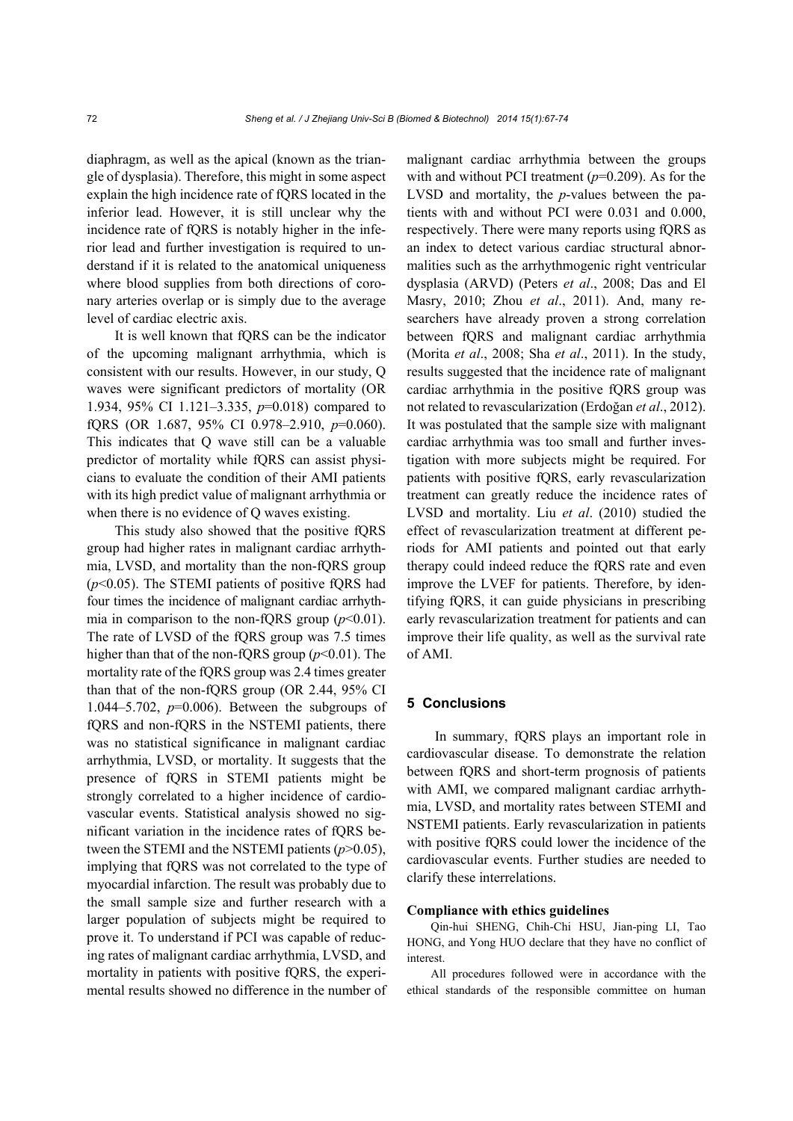diaphragm, as well as the apical (known as the triangle of dysplasia). Therefore, this might in some aspect explain the high incidence rate of fQRS located in the inferior lead. However, it is still unclear why the incidence rate of fQRS is notably higher in the inferior lead and further investigation is required to understand if it is related to the anatomical uniqueness where blood supplies from both directions of coronary arteries overlap or is simply due to the average level of cardiac electric axis.

It is well known that fQRS can be the indicator of the upcoming malignant arrhythmia, which is consistent with our results. However, in our study, Q waves were significant predictors of mortality (OR 1.934, 95% CI 1.121‒3.335, *p*=0.018) compared to fQRS (OR 1.687, 95% CI 0.978‒2.910, *p*=0.060). This indicates that Q wave still can be a valuable predictor of mortality while fQRS can assist physicians to evaluate the condition of their AMI patients with its high predict value of malignant arrhythmia or when there is no evidence of Q waves existing.

This study also showed that the positive fQRS group had higher rates in malignant cardiac arrhythmia, LVSD, and mortality than the non-fQRS group (*p*<0.05). The STEMI patients of positive fQRS had four times the incidence of malignant cardiac arrhythmia in comparison to the non-fQRS group  $(p<0.01)$ . The rate of LVSD of the fQRS group was 7.5 times higher than that of the non-fQRS group (*p*<0.01). The mortality rate of the fQRS group was 2.4 times greater than that of the non-fQRS group (OR 2.44, 95% CI 1.044–5.702,  $p=0.006$ ). Between the subgroups of fQRS and non-fQRS in the NSTEMI patients, there was no statistical significance in malignant cardiac arrhythmia, LVSD, or mortality. It suggests that the presence of fQRS in STEMI patients might be strongly correlated to a higher incidence of cardiovascular events. Statistical analysis showed no significant variation in the incidence rates of fQRS between the STEMI and the NSTEMI patients (*p*>0.05), implying that fQRS was not correlated to the type of myocardial infarction. The result was probably due to the small sample size and further research with a larger population of subjects might be required to prove it. To understand if PCI was capable of reducing rates of malignant cardiac arrhythmia, LVSD, and mortality in patients with positive fQRS, the experimental results showed no difference in the number of malignant cardiac arrhythmia between the groups with and without PCI treatment ( $p=0.209$ ). As for the LVSD and mortality, the *p*-values between the patients with and without PCI were 0.031 and 0.000, respectively. There were many reports using fQRS as an index to detect various cardiac structural abnormalities such as the arrhythmogenic right ventricular dysplasia (ARVD) (Peters *et al*., 2008; Das and El Masry, 2010; Zhou *et al*., 2011). And, many researchers have already proven a strong correlation between fQRS and malignant cardiac arrhythmia (Morita *et al*., 2008; Sha *et al*., 2011). In the study, results suggested that the incidence rate of malignant cardiac arrhythmia in the positive fQRS group was not related to revascularization (Erdoğan *et al*., 2012). It was postulated that the sample size with malignant cardiac arrhythmia was too small and further investigation with more subjects might be required. For patients with positive fQRS, early revascularization treatment can greatly reduce the incidence rates of LVSD and mortality. Liu *et al*. (2010) studied the effect of revascularization treatment at different periods for AMI patients and pointed out that early therapy could indeed reduce the fQRS rate and even improve the LVEF for patients. Therefore, by identifying fQRS, it can guide physicians in prescribing early revascularization treatment for patients and can improve their life quality, as well as the survival rate of AMI.

## **5 Conclusions**

In summary, fQRS plays an important role in cardiovascular disease. To demonstrate the relation between fQRS and short-term prognosis of patients with AMI, we compared malignant cardiac arrhythmia, LVSD, and mortality rates between STEMI and NSTEMI patients. Early revascularization in patients with positive fQRS could lower the incidence of the cardiovascular events. Further studies are needed to clarify these interrelations.

## **Compliance with ethics guidelines**

Qin-hui SHENG, Chih-Chi HSU, Jian-ping LI, Tao HONG, and Yong HUO declare that they have no conflict of interest.

All procedures followed were in accordance with the ethical standards of the responsible committee on human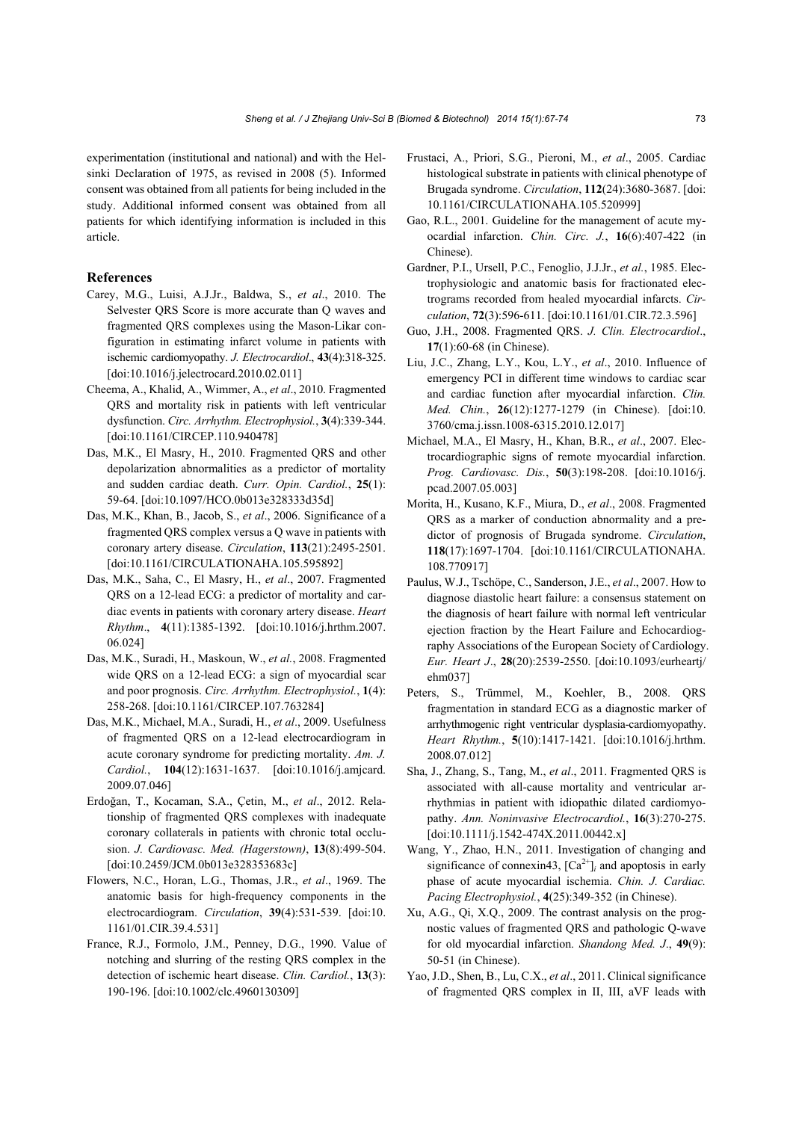experimentation (institutional and national) and with the Helsinki Declaration of 1975, as revised in 2008 (5). Informed consent was obtained from all patients for being included in the study. Additional informed consent was obtained from all patients for which identifying information is included in this article.

## **References**

- Carey, M.G., Luisi, A.J.Jr., Baldwa, S., *et al*., 2010. The Selvester QRS Score is more accurate than Q waves and fragmented QRS complexes using the Mason-Likar configuration in estimating infarct volume in patients with ischemic cardiomyopathy. *J. Electrocardiol*., **43**(4):318-325. [doi:10.1016/j.jelectrocard.2010.02.011]
- Cheema, A., Khalid, A., Wimmer, A., *et al*., 2010. Fragmented QRS and mortality risk in patients with left ventricular dysfunction. *Circ. Arrhythm. Electrophysiol.*, **3**(4):339-344. [doi:10.1161/CIRCEP.110.940478]
- Das, M.K., El Masry, H., 2010. Fragmented QRS and other depolarization abnormalities as a predictor of mortality and sudden cardiac death. *Curr. Opin. Cardiol.*, **25**(1): 59-64. [doi:10.1097/HCO.0b013e328333d35d]
- Das, M.K., Khan, B., Jacob, S., *et al*., 2006. Significance of a fragmented QRS complex versus a Q wave in patients with coronary artery disease. *Circulation*, **113**(21):2495-2501. [doi:10.1161/CIRCULATIONAHA.105.595892]
- Das, M.K., Saha, C., El Masry, H., *et al*., 2007. Fragmented QRS on a 12-lead ECG: a predictor of mortality and cardiac events in patients with coronary artery disease. *Heart Rhythm*., **4**(11):1385-1392. [doi:10.1016/j.hrthm.2007. 06.024]
- Das, M.K., Suradi, H., Maskoun, W., *et al.*, 2008. Fragmented wide QRS on a 12-lead ECG: a sign of myocardial scar and poor prognosis. *Circ. Arrhythm. Electrophysiol.*, **1**(4): 258-268. [doi:10.1161/CIRCEP.107.763284]
- Das, M.K., Michael, M.A., Suradi, H., *et al*., 2009. Usefulness of fragmented QRS on a 12-lead electrocardiogram in acute coronary syndrome for predicting mortality. *Am. J. Cardiol.*, **104**(12):1631-1637. [doi:10.1016/j.amjcard. 2009.07.046]
- Erdoğan, T., Kocaman, S.A., Çetin, M., *et al*., 2012. Relationship of fragmented QRS complexes with inadequate coronary collaterals in patients with chronic total occlusion. *J. Cardiovasc. Med. (Hagerstown)*, **13**(8):499-504. [doi:10.2459/JCM.0b013e328353683c]
- Flowers, N.C., Horan, L.G., Thomas, J.R., *et al*., 1969. The anatomic basis for high-frequency components in the electrocardiogram. *Circulation*, **39**(4):531-539. [doi:10. 1161/01.CIR.39.4.531]
- France, R.J., Formolo, J.M., Penney, D.G., 1990. Value of notching and slurring of the resting QRS complex in the detection of ischemic heart disease. *Clin. Cardiol.*, **13**(3): 190-196. [doi:10.1002/clc.4960130309]
- Frustaci, A., Priori, S.G., Pieroni, M., *et al*., 2005. Cardiac histological substrate in patients with clinical phenotype of Brugada syndrome. *Circulation*, **112**(24):3680-3687. [doi: 10.1161/CIRCULATIONAHA.105.520999]
- Gao, R.L., 2001. Guideline for the management of acute myocardial infarction. *Chin. Circ. J.*, **16**(6):407-422 (in Chinese).
- Gardner, P.I., Ursell, P.C., Fenoglio, J.J.Jr., *et al.*, 1985. Electrophysiologic and anatomic basis for fractionated electrograms recorded from healed myocardial infarcts. *Circulation*, **72**(3):596-611. [doi:10.1161/01.CIR.72.3.596]
- Guo, J.H., 2008. Fragmented QRS. *J. Clin. Electrocardiol*., **17**(1):60-68 (in Chinese).
- Liu, J.C., Zhang, L.Y., Kou, L.Y., *et al*., 2010. Influence of emergency PCI in different time windows to cardiac scar and cardiac function after myocardial infarction. *Clin. Med. Chin.*, **26**(12):1277-1279 (in Chinese). [doi:10. 3760/cma.j.issn.1008-6315.2010.12.017]
- Michael, M.A., El Masry, H., Khan, B.R., *et al*., 2007. Electrocardiographic signs of remote myocardial infarction. *Prog. Cardiovasc. Dis.*, **50**(3):198-208. [doi:10.1016/j. pcad.2007.05.003]
- Morita, H., Kusano, K.F., Miura, D., *et al*., 2008. Fragmented QRS as a marker of conduction abnormality and a predictor of prognosis of Brugada syndrome. *Circulation*, **118**(17):1697-1704. [doi:10.1161/CIRCULATIONAHA. 108.770917]
- Paulus, W.J., Tschöpe, C., Sanderson, J.E., *et al*., 2007. How to diagnose diastolic heart failure: a consensus statement on the diagnosis of heart failure with normal left ventricular ejection fraction by the Heart Failure and Echocardiography Associations of the European Society of Cardiology. *Eur. Heart J*., **28**(20):2539-2550. [doi:10.1093/eurheartj/ ehm037]
- Peters, S., Trümmel, M., Koehler, B., 2008. QRS fragmentation in standard ECG as a diagnostic marker of arrhythmogenic right ventricular dysplasia-cardiomyopathy. *Heart Rhythm.*, **5**(10):1417-1421. [doi:10.1016/j.hrthm. 2008.07.012]
- Sha, J., Zhang, S., Tang, M., *et al*., 2011. Fragmented QRS is associated with all-cause mortality and ventricular arrhythmias in patient with idiopathic dilated cardiomyopathy. *Ann. Noninvasive Electrocardiol.*, **16**(3):270-275. [doi:10.1111/j.1542-474X.2011.00442.x]
- Wang, Y., Zhao, H.N., 2011. Investigation of changing and significance of connexin43,  $[Ca^{2+}]$ *i* and apoptosis in early phase of acute myocardial ischemia. *Chin. J. Cardiac. Pacing Electrophysiol.*, **4**(25):349-352 (in Chinese).
- Xu, A.G., Qi, X.Q., 2009. The contrast analysis on the prognostic values of fragmented QRS and pathologic Q-wave for old myocardial infarction. *Shandong Med. J*., **49**(9): 50-51 (in Chinese).
- Yao, J.D., Shen, B., Lu, C.X., *et al*., 2011. Clinical significance of fragmented QRS complex in II, III, aVF leads with